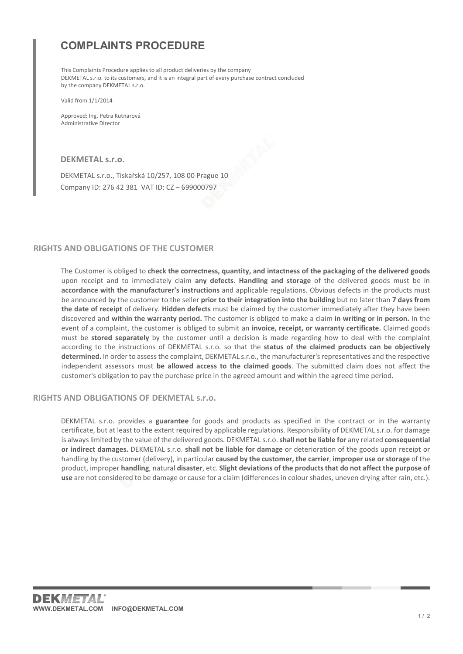## COMPLAINTS PROCEDURE

This Complaints Procedure applies to all product deliveries by the company DEKMETAL s.r.o. to its customers, and it is an integral part of every purchase contract concluded by the company DEKMETAL s.r.o.

Valid from 1/1/2014

Approved: Ing. Petra Kutnarová Administrative Director

DEKMETAL s.r.o.

DEKMETAL s.r.o., Tiskařská 10/257, 108 00 Prague 10 Company ID: 276 42 381 VAT ID: CZ – 699000797

## RIGHTS AND OBLIGATIONS OF THE CUSTOMER

The Customer is obliged to check the correctness, quantity, and intactness of the packaging of the delivered goods upon receipt and to immediately claim any defects. Handling and storage of the delivered goods must be in accordance with the manufacturer's instructions and applicable regulations. Obvious defects in the products must be announced by the customer to the seller prior to their integration into the building but no later than 7 days from the date of receipt of delivery. Hidden defects must be claimed by the customer immediately after they have been discovered and within the warranty period. The customer is obliged to make a claim in writing or in person. In the event of a complaint, the customer is obliged to submit an invoice, receipt, or warranty certificate. Claimed goods must be stored separately by the customer until a decision is made regarding how to deal with the complaint according to the instructions of DEKMETAL s.r.o. so that the status of the claimed products can be objectively determined. In order to assess the complaint, DEKMETAL s.r.o., the manufacturer's representatives and the respective independent assessors must be allowed access to the claimed goods. The submitted claim does not affect the customer's obligation to pay the purchase price in the agreed amount and within the agreed time period.

## RIGHTS AND ORLIGATIONS OF DEKMETAL S.r.o.

DEKMETAL s.r.o. provides a guarantee for goods and products as specified in the contract or in the warranty certificate, but at least to the extent required by applicable regulations. Responsibility of DEKMETAL s.r.o. for damage is always limited by the value of the delivered goods. DEKMETAL s.r.o. shall not be liable for any related consequential or indirect damages. DEKMETAL s.r.o. shall not be liable for damage or deterioration of the goods upon receipt or handling by the customer (delivery), in particular caused by the customer, the carrier, improper use or storage of the product, improper handling, natural disaster, etc. Slight deviations of the products that do not affect the purpose of use are not considered to be damage or cause for a claim (differences in colour shades, uneven drying after rain, etc.).